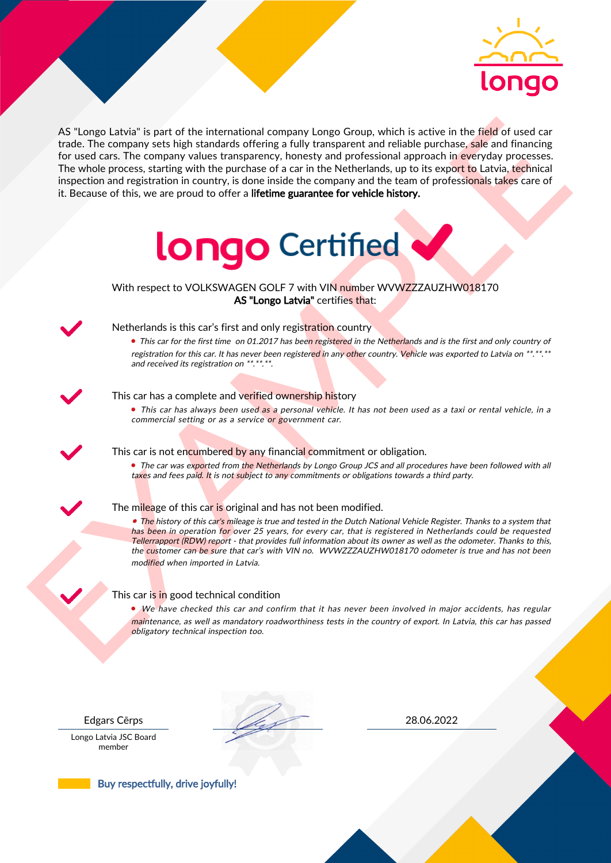

As the space label is part of the intermediate company longs Group which is active in the field of used car<br>for the field of space of a car in the Netherlands, up to be compatible in the space of a car in the Netherlands, AS "Longo Latvia" is part of the international company Longo Group, which is active in the field of used car trade. The company sets high standards offering a fully transparent and reliable purchase, sale and financing for used cars. The company values transparency, honesty and professional approach in everyday processes. The whole process, starting with the purchase of a car in the Netherlands, up to its export to Latvia, technical inspection and registration in country, is done inside the company and the team of professionals takes care of it. Because of this, we are proud to offer a lifetime guarantee for vehicle history.



With respect to VOLKSWAGEN GOLF 7 with VIN number WVWZZZAUZHW018170 AS "Longo Latvia" certifies that:



# Netherlands is this car's first and only registration country

• This car for the first time on 01.2017 has been registered in the Netherlands and is the first and only country of registration for this car. It has never been registered in any other country. Vehicle was exported to Latvia on \*\*.\*\*.\*\* and received its registration on \*\*.\*\*.\*\*.

### This car has a complete and verified ownership history

• This car has always been used as a personal vehicle. It has not been used as a taxi or rental vehicle, in a commercial setting or as a service or government car.

This car is not encumbered by any financial commitment or obligation.

• The car was exported from the Netherlands by Longo Group JCS and all procedures have been followed with all taxes and fees paid. It is not subject to any commitments or obligations towards a third party.

### The mileage of this car is original and has not been modified.

• The history of this car's mileage is true and tested in the Dutch National Vehicle Register. Thanks to a system that has been in operation for over 25 years, for every car, that is registered in Netherlands could be requested Tellerrapport (RDW) report - that provides full information about its owner as well as the odometer. Thanks to this, the customer can be sure that car's with VIN no. WVWZZZAUZHW018170 odometer is true and has not been modified when imported in Latvia.

### This car is in good technical condition

• We have checked this car and confirm that it has never been involved in major accidents, has regular maintenance, as well as mandatory roadworthiness tests in the country of export. In Latvia, this car has passed obligatory technical inspection too.

Longo Latvia JSC Board member

Edgars Cērps 28.06.2022

Buy respectfully, drive joyfully!